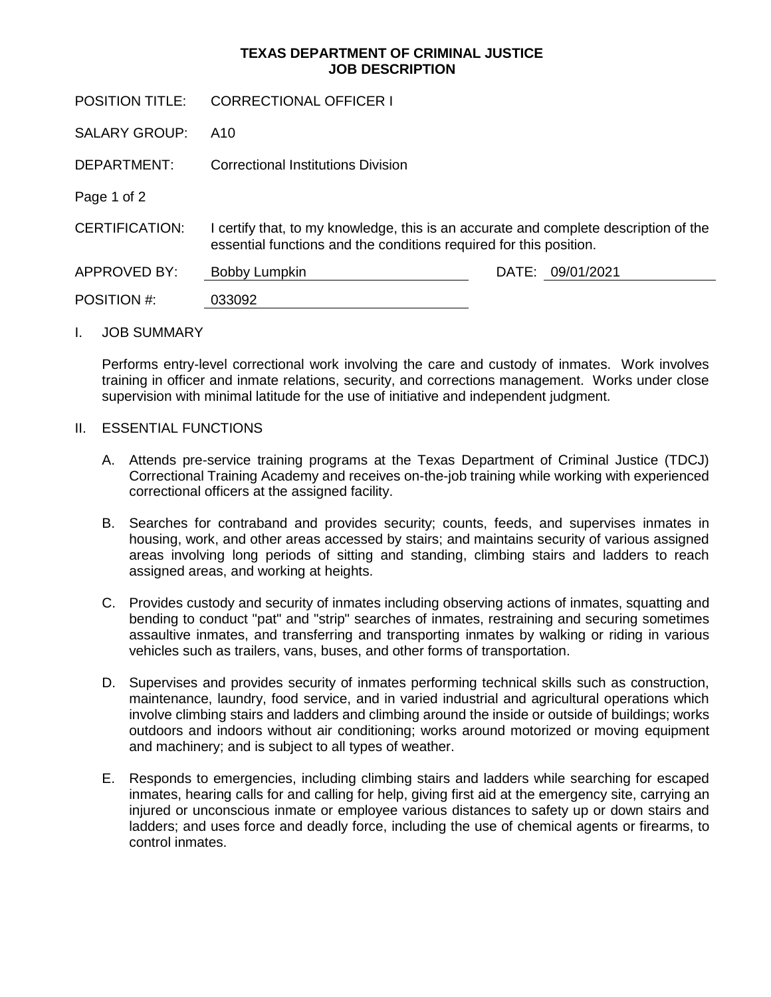## **TEXAS DEPARTMENT OF CRIMINAL JUSTICE JOB DESCRIPTION**

| <b>POSITION TITLE:</b> | CORRECTIONAL OFFICER I                                                                                                                                     |                     |
|------------------------|------------------------------------------------------------------------------------------------------------------------------------------------------------|---------------------|
| <b>SALARY GROUP:</b>   | A10                                                                                                                                                        |                     |
| DEPARTMENT:            | Correctional Institutions Division                                                                                                                         |                     |
| Page 1 of 2            |                                                                                                                                                            |                     |
| <b>CERTIFICATION:</b>  | I certify that, to my knowledge, this is an accurate and complete description of the<br>essential functions and the conditions required for this position. |                     |
| <b>APPROVED BY:</b>    | Bobby Lumpkin                                                                                                                                              | DATE:<br>09/01/2021 |
| POSITION #:            | 033092                                                                                                                                                     |                     |
|                        |                                                                                                                                                            |                     |

## I. JOB SUMMARY

Performs entry-level correctional work involving the care and custody of inmates. Work involves training in officer and inmate relations, security, and corrections management. Works under close supervision with minimal latitude for the use of initiative and independent judgment.

## II. ESSENTIAL FUNCTIONS

- A. Attends pre-service training programs at the Texas Department of Criminal Justice (TDCJ) Correctional Training Academy and receives on-the-job training while working with experienced correctional officers at the assigned facility.
- B. Searches for contraband and provides security; counts, feeds, and supervises inmates in housing, work, and other areas accessed by stairs; and maintains security of various assigned areas involving long periods of sitting and standing, climbing stairs and ladders to reach assigned areas, and working at heights.
- C. Provides custody and security of inmates including observing actions of inmates, squatting and bending to conduct "pat" and "strip" searches of inmates, restraining and securing sometimes assaultive inmates, and transferring and transporting inmates by walking or riding in various vehicles such as trailers, vans, buses, and other forms of transportation.
- D. Supervises and provides security of inmates performing technical skills such as construction, maintenance, laundry, food service, and in varied industrial and agricultural operations which involve climbing stairs and ladders and climbing around the inside or outside of buildings; works outdoors and indoors without air conditioning; works around motorized or moving equipment and machinery; and is subject to all types of weather.
- E. Responds to emergencies, including climbing stairs and ladders while searching for escaped inmates, hearing calls for and calling for help, giving first aid at the emergency site, carrying an injured or unconscious inmate or employee various distances to safety up or down stairs and ladders; and uses force and deadly force, including the use of chemical agents or firearms, to control inmates.